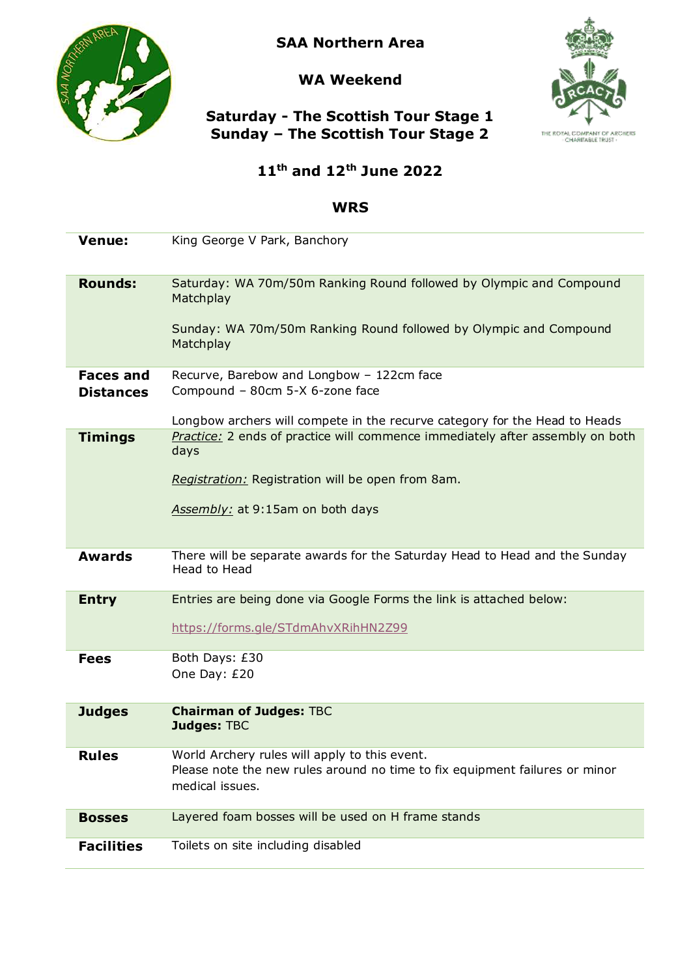

**SAA Northern Area**

### **WA Weekend**



## **Saturday - The Scottish Tour Stage 1 Sunday – The Scottish Tour Stage 2**

# **11th and 12th June 2022**

#### **WRS**

| <b>Venue:</b>                        | King George V Park, Banchory                                                                                                                          |
|--------------------------------------|-------------------------------------------------------------------------------------------------------------------------------------------------------|
| <b>Rounds:</b>                       | Saturday: WA 70m/50m Ranking Round followed by Olympic and Compound<br>Matchplay<br>Sunday: WA 70m/50m Ranking Round followed by Olympic and Compound |
|                                      | Matchplay                                                                                                                                             |
| <b>Faces and</b><br><b>Distances</b> | Recurve, Barebow and Longbow - 122cm face<br>Compound - 80cm 5-X 6-zone face                                                                          |
|                                      | Longbow archers will compete in the recurve category for the Head to Heads                                                                            |
| <b>Timings</b>                       | Practice: 2 ends of practice will commence immediately after assembly on both<br>days                                                                 |
|                                      | Registration: Registration will be open from 8am.                                                                                                     |
|                                      | Assembly: at 9:15am on both days                                                                                                                      |
| <b>Awards</b>                        | There will be separate awards for the Saturday Head to Head and the Sunday<br>Head to Head                                                            |
| <b>Entry</b>                         | Entries are being done via Google Forms the link is attached below:                                                                                   |
|                                      | https://forms.gle/STdmAhvXRihHN2Z99                                                                                                                   |
| <b>Fees</b>                          | Both Days: £30<br>One Day: £20                                                                                                                        |
|                                      |                                                                                                                                                       |
| <b>Judges</b>                        | <b>Chairman of Judges: TBC</b><br><b>Judges: TBC</b>                                                                                                  |
| <b>Rules</b>                         | World Archery rules will apply to this event.<br>Please note the new rules around no time to fix equipment failures or minor<br>medical issues.       |
| <b>Bosses</b>                        | Layered foam bosses will be used on H frame stands                                                                                                    |
| <b>Facilities</b>                    | Toilets on site including disabled                                                                                                                    |